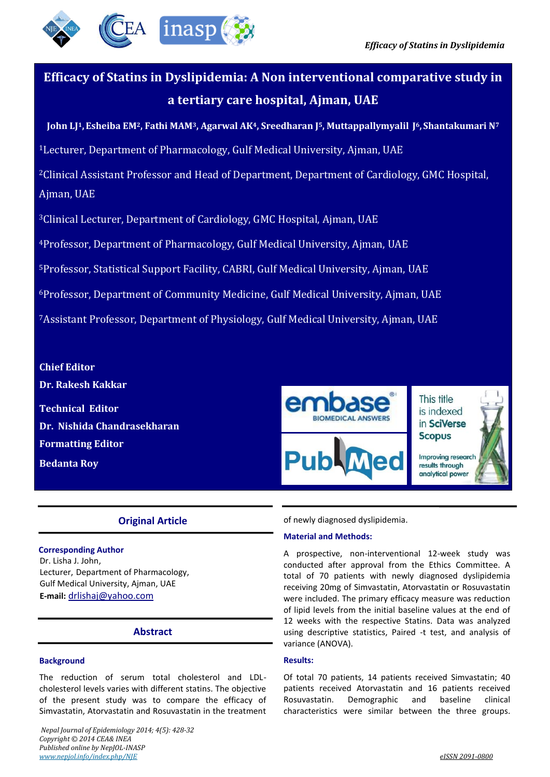

# **Efficacy of Statins in Dyslipidemia: A Non interventional comparative study in a tertiary care hospital, Ajman, UAE**

**John LJ1,Esheiba EM2, Fathi MAM3, Agarwal AK4, Sreedharan J5, Muttappallymyalil J6, Shantakumari N<sup>7</sup>**

<sup>1</sup>Lecturer, Department of Pharmacology, Gulf Medical University, Ajman, UAE

<sup>2</sup>Clinical Assistant Professor and Head of Department, Department of Cardiology, GMC Hospital, Ajman, UAE

<sup>3</sup>Clinical Lecturer, Department of Cardiology, GMC Hospital, Ajman, UAE

<sup>4</sup>Professor, Department of Pharmacology, Gulf Medical University, Ajman, UAE

<sup>5</sup>Professor, Statistical Support Facility, CABRI, Gulf Medical University, Ajman, UAE

<sup>6</sup>Professor, Department of Community Medicine, Gulf Medical University, Ajman, UAE

<sup>7</sup>Assistant Professor, Department of Physiology, Gulf Medical University, Ajman, UAE

**Chief Editor Dr. Rakesh Kakkar Technical Editor Dr. Nishida Chandrasekharan Formatting Editor Bedanta Roy** 



# **Original Article**

**Corresponding Author** Dr. Lisha J. John, Lecturer, Department of Pharmacology, Gulf Medical University, Ajman, UAE **E-mail:** drlishaj@yahoo.com

# **Abstract**

# **Background**

The reduction of serum total cholesterol and LDLcholesterol levels varies with different statins. The objective of the present study was to compare the efficacy of Simvastatin, Atorvastatin and Rosuvastatin in the treatment

 *Nepal Journal of Epidemiology 2014; 4(5): 428-32 Copyright © 2014 CEA& INEA Published online by NepJOL-INASP www.nepjol.info/index.php/NJE eISSN 2091-0800*

of newly diagnosed dyslipidemia.

# **Material and Methods:**

A prospective, non-interventional 12-week study was conducted after approval from the Ethics Committee. A total of 70 patients with newly diagnosed dyslipidemia receiving 20mg of Simvastatin, Atorvastatin or Rosuvastatin were included. The primary efficacy measure was reduction of lipid levels from the initial baseline values at the end of 12 weeks with the respective Statins. Data was analyzed using descriptive statistics, Paired -t test, and analysis of variance (ANOVA).

# **Results:**

Of total 70 patients, 14 patients received Simvastatin; 40 patients received Atorvastatin and 16 patients received Rosuvastatin. Demographic and baseline clinical characteristics were similar between the three groups.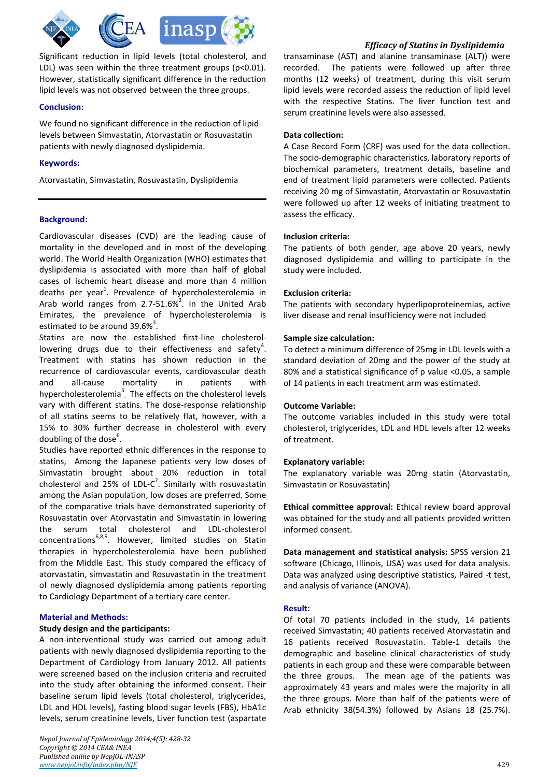

Significant reduction in lipid levels (total cholesterol, and LDL) was seen within the three treatment groups (p<0.01). However, statistically significant difference in the reduction lipid levels was not observed between the three groups.

# **Conclusion:**

We found no significant difference in the reduction of lipid levels between Simvastatin, Atorvastatin or Rosuvastatin patients with newly diagnosed dyslipidemia.

# **Keywords:**

Atorvastatin, Simvastatin, Rosuvastatin, Dyslipidemia

# **Background:**

Cardiovascular diseases (CVD) are the leading cause of mortality in the developed and in most of the developing world. The World Health Organization (WHO) estimates that dyslipidemia is associated with more than half of global cases of ischemic heart disease and more than 4 million deaths per year<sup>1</sup>. Prevalence of hypercholesterolemia in Arab world ranges from 2.7-51.6%<sup>2</sup>. In the United Arab Emirates, the prevalence of hypercholesterolemia is estimated to be around 39.6%<sup>3</sup>.

Statins are now the established first-line cholesterollowering drugs due to their effectiveness and safety<sup>4</sup>. Treatment with statins has shown reduction in the recurrence of cardiovascular events, cardiovascular death and all-cause mortality in patients with hypercholesterolemia<sup>5</sup>. The effects on the cholesterol levels vary with different statins. The dose-response relationship of all statins seems to be relatively flat, however, with a 15% to 30% further decrease in cholesterol with every doubling of the dose<sup>6</sup>.

Studies have reported ethnic differences in the response to statins, Among the Japanese patients very low doses of Simvastatin brought about 20% reduction in total cholesterol and 25% of LDL-C<sup>7</sup>. Similarly with rosuvastatin among the Asian population, low doses are preferred. Some of the comparative trials have demonstrated superiority of Rosuvastatin over Atorvastatin and Simvastatin in lowering the serum total cholesterol and LDL-cholesterol concentrations<sup>6,8,9</sup>. However, limited studies on Statin therapies in hypercholesterolemia have been published from the Middle East. This study compared the efficacy of atorvastatin, simvastatin and Rosuvastatin in the treatment of newly diagnosed dyslipidemia among patients reporting to Cardiology Department of a tertiary care center.

# **Material and Methods:**

### **Study design and the participants:**

A non-interventional study was carried out among adult patients with newly diagnosed dyslipidemia reporting to the Department of Cardiology from January 2012. All patients were screened based on the inclusion criteria and recruited into the study after obtaining the informed consent. Their baseline serum lipid levels (total cholesterol, triglycerides, LDL and HDL levels), fasting blood sugar levels (FBS), HbA1c levels, serum creatinine levels, Liver function test (aspartate

# *Efficacy of Statins in Dyslipidemia*

transaminase (AST) and alanine transaminase (ALT)) were recorded. The patients were followed up after three months (12 weeks) of treatment, during this visit serum lipid levels were recorded assess the reduction of lipid level with the respective Statins. The liver function test and serum creatinine levels were also assessed.

# **Data collection:**

A Case Record Form (CRF) was used for the data collection. The socio-demographic characteristics, laboratory reports of biochemical parameters, treatment details, baseline and end of treatment lipid parameters were collected. Patients receiving 20 mg of Simvastatin, Atorvastatin or Rosuvastatin were followed up after 12 weeks of initiating treatment to assess the efficacy.

### **Inclusion criteria:**

The patients of both gender, age above 20 years, newly diagnosed dyslipidemia and willing to participate in the study were included.

# **Exclusion criteria:**

The patients with secondary hyperlipoproteinemias, active liver disease and renal insufficiency were not included

# **Sample size calculation:**

To detect a minimum difference of 25mg in LDL levels with a standard deviation of 20mg and the power of the study at 80% and a statistical significance of p value <0.05, a sample of 14 patients in each treatment arm was estimated.

### **Outcome Variable:**

The outcome variables included in this study were total cholesterol, triglycerides, LDL and HDL levels after 12 weeks of treatment.

### **Explanatory variable:**

The explanatory variable was 20mg statin (Atorvastatin, Simvastatin or Rosuvastatin)

**Ethical committee approval:** Ethical review board approval was obtained for the study and all patients provided written informed consent.

**Data management and statistical analysis:** SPSS version 21 software (Chicago, Illinois, USA) was used for data analysis. Data was analyzed using descriptive statistics, Paired -t test, and analysis of variance (ANOVA).

### **Result:**

Of total 70 patients included in the study, 14 patients received Simvastatin; 40 patients received Atorvastatin and 16 patients received Rosuvastatin. Table-1 details the demographic and baseline clinical characteristics of study patients in each group and these were comparable between the three groups. The mean age of the patients was approximately 43 years and males were the majority in all the three groups. More than half of the patients were of Arab ethnicity 38(54.3%) followed by Asians 18 (25.7%).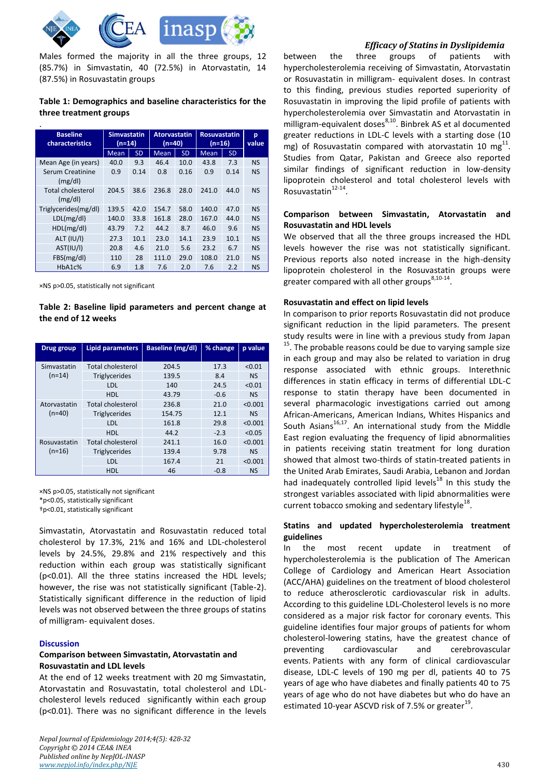

Males formed the majority in all the three groups, 12 (85.7%) in Simvastatin, 40 (72.5%) in Atorvastatin, 14 (87.5%) in Rosuvastatin groups

# **Table 1: Demographics and baseline characteristics for the three treatment groups**

| <b>Baseline</b><br>characteristics  | <b>Simvastatin</b><br>(n=14) |           | <b>Atorvastatin</b><br>(n=40) |           | <b>Rosuvastatin</b><br>(n=16) |           | p<br>value |
|-------------------------------------|------------------------------|-----------|-------------------------------|-----------|-------------------------------|-----------|------------|
|                                     | <b>Mean</b>                  | <b>SD</b> | <b>Mean</b>                   | <b>SD</b> | <b>Mean</b>                   | <b>SD</b> |            |
| Mean Age (in years)                 | 40.0                         | 9.3       | 46.4                          | 10.0      | 43.8                          | 7.3       | <b>NS</b>  |
| Serum Creatinine<br>(mg/dl)         | 0.9                          | 0.14      | 0.8                           | 0.16      | 0.9                           | 0.14      | <b>NS</b>  |
| <b>Total cholesterol</b><br>(mg/dl) | 204.5                        | 38.6      | 236.8                         | 28.0      | 241.0                         | 44.0      | <b>NS</b>  |
| Triglycerides(mg/dl)                | 139.5                        | 42.0      | 154.7                         | 58.0      | 140.0                         | 47.0      | <b>NS</b>  |
| LDL(mg/dl)                          | 140.0                        | 33.8      | 161.8                         | 28.0      | 167.0                         | 44.0      | <b>NS</b>  |
| HDL(mg/dl)                          | 43.79                        | 7.2       | 44.2                          | 8.7       | 46.0                          | 9.6       | <b>NS</b>  |
| <b>ALT (IU/I)</b>                   | 27.3                         | 10.1      | 23.0                          | 14.1      | 23.9                          | 10.1      | <b>NS</b>  |
| AST(IU/I)                           | 20.8                         | 4.6       | 21.0                          | 5.6       | 23.2                          | 6.7       | <b>NS</b>  |
| FBS(mg/dl)                          | 110                          | 28        | 111.0                         | 29.0      | 108.0                         | 21.0      | <b>NS</b>  |
| HbA1c%                              | 6.9                          | 1.8       | 7.6                           | 2.0       | 7.6                           | 2.2       | <b>NS</b>  |

×NS p>0.05, statistically not significant

# **Table 2: Baseline lipid parameters and percent change at the end of 12 weeks**

| Drug group               | <b>Lipid parameters</b>  | Baseline (mg/dl) | % change | p value   |
|--------------------------|--------------------------|------------------|----------|-----------|
| Simvastatin<br>$(n=14)$  | <b>Total cholesterol</b> | 204.5            | 17.3     | < 0.01    |
|                          | <b>Triglycerides</b>     | 139.5            | 8.4      | <b>NS</b> |
|                          | LDL                      | 140              | 24.5     | < 0.01    |
|                          | HDL                      | 43.79            | $-0.6$   | <b>NS</b> |
| Atorvastatin<br>$(n=40)$ | <b>Total cholesterol</b> | 236.8            | 21.0     | < 0.001   |
|                          | <b>Triglycerides</b>     | 154.75           | 12.1     | <b>NS</b> |
|                          | LDL                      | 161.8            | 29.8     | < 0.001   |
|                          | HDL                      | 44.2             | $-2.3$   | < 0.05    |
| Rosuvastatin<br>$(n=16)$ | <b>Total cholesterol</b> | 241.1            | 16.0     | < 0.001   |
|                          | <b>Triglycerides</b>     | 139.4            | 9.78     | <b>NS</b> |
|                          | LDL                      | 167.4            | 21       | < 0.001   |
|                          | HDL                      | 46               | $-0.8$   | <b>NS</b> |

×NS p>0.05, statistically not significant \*p<0.05, statistically significant †p<0.01, statistically significant

Simvastatin, Atorvastatin and Rosuvastatin reduced total cholesterol by 17.3%, 21% and 16% and LDL-cholesterol levels by 24.5%, 29.8% and 21% respectively and this reduction within each group was statistically significant (p<0.01). All the three statins increased the HDL levels; however, the rise was not statistically significant (Table-2). Statistically significant difference in the reduction of lipid levels was not observed between the three groups of statins of milligram- equivalent doses.

#### **Discussion**

# **Comparison between Simvastatin, Atorvastatin and Rosuvastatin and LDL levels**

At the end of 12 weeks treatment with 20 mg Simvastatin, Atorvastatin and Rosuvastatin, total cholesterol and LDLcholesterol levels reduced significantly within each group (p<0.01). There was no significant difference in the levels

# *Efficacy of Statins in Dyslipidemia*

between the three groups of patients with hypercholesterolemia receiving of Simvastatin, Atorvastatin or Rosuvastatin in milligram- equivalent doses. In contrast to this finding, previous studies reported superiority of Rosuvastatin in improving the lipid profile of patients with hypercholesterolemia over Simvastatin and Atorvastatin in  $\frac{1}{2}$  milligram-equivalent doses<sup>8,10</sup>. Binbrek AS et al documented greater reductions in LDL-C levels with a starting dose (10 mg) of Rosuvastatin compared with atorvastatin 10 mg $^{11}$ . Studies from Qatar, Pakistan and Greece also reported similar findings of significant reduction in low-density lipoprotein cholesterol and total cholesterol levels with Rosuvastatin<sup>12-14</sup>.

# **Comparison between Simvastatin, Atorvastatin and Rosuvastatin and HDL levels**

We observed that all the three groups increased the HDL levels however the rise was not statistically significant. Previous reports also noted increase in the high-density lipoprotein cholesterol in the Rosuvastatin groups were greater compared with all other groups<sup>8,10-14</sup>.

### **Rosuvastatin and effect on lipid levels**

In comparison to prior reports Rosuvastatin did not produce significant reduction in the lipid parameters. The present study results were in line with a previous study from Japan <sup>15</sup>. The probable reasons could be due to varying sample size in each group and may also be related to variation in drug response associated with ethnic groups. Interethnic differences in statin efficacy in terms of differential LDL-C response to statin therapy have been documented in several pharmacologic investigations carried out among African-Americans, American Indians, Whites Hispanics and South Asians<sup>16,17</sup>. An international study from the Middle East region evaluating the frequency of lipid abnormalities in patients receiving statin treatment for long duration showed that almost two-thirds of statin-treated patients in the United Arab Emirates, Saudi Arabia, Lebanon and Jordan had inadequately controlled lipid levels $^{18}$  In this study the strongest variables associated with lipid abnormalities were current tobacco smoking and sedentary lifestyle $^{18}$ .

# **Statins and updated hypercholesterolemia treatment guidelines**

In the most recent update in treatment of hypercholesterolemia is the publication of The American College of Cardiology and American Heart Association (ACC/AHA) guidelines on the treatment of blood cholesterol to reduce atherosclerotic cardiovascular risk in adults. According to this guideline LDL-Cholesterol levels is no more considered as a major risk factor for coronary events. This guideline identifies four major groups of patients for whom cholesterol-lowering statins, have the greatest chance of preventing cardiovascular and cerebrovascular events. Patients with any form of clinical cardiovascular disease, LDL-C levels of 190 mg per dl, patients 40 to 75 years of age who have diabetes and finally patients 40 to 75 years of age who do not have diabetes but who do have an estimated 10-year ASCVD risk of 7.5% or greater<sup>19</sup>.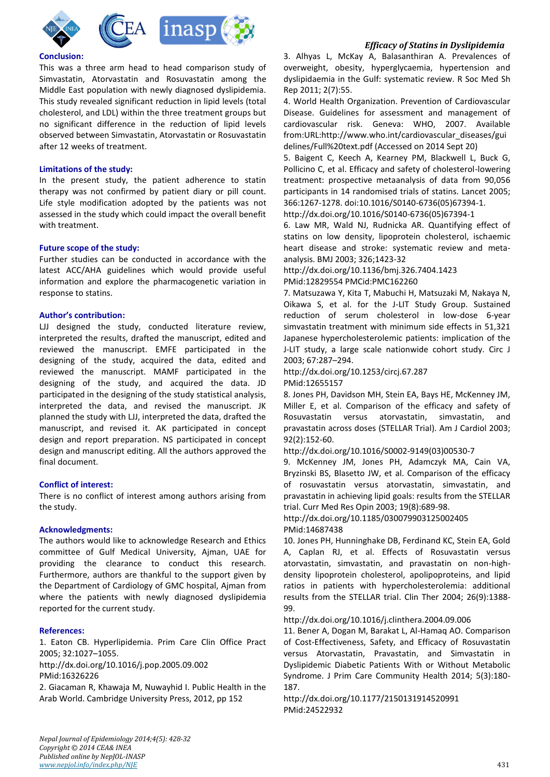



# **Conclusion:**

This was a three arm head to head comparison study of Simvastatin, Atorvastatin and Rosuvastatin among the Middle East population with newly diagnosed dyslipidemia. This study revealed significant reduction in lipid levels (total cholesterol, and LDL) within the three treatment groups but no significant difference in the reduction of lipid levels observed between Simvastatin, Atorvastatin or Rosuvastatin after 12 weeks of treatment.

## **Limitations of the study:**

In the present study, the patient adherence to statin therapy was not confirmed by patient diary or pill count. Life style modification adopted by the patients was not assessed in the study which could impact the overall benefit with treatment.

# **Future scope of the study:**

Further studies can be conducted in accordance with the latest ACC/AHA guidelines which would provide useful information and explore the pharmacogenetic variation in response to statins.

# **Author's contribution:**

LJJ designed the study, conducted literature review, interpreted the results, drafted the manuscript, edited and reviewed the manuscript. EMFE participated in the designing of the study, acquired the data, edited and reviewed the manuscript. MAMF participated in the designing of the study, and acquired the data. JD participated in the designing of the study statistical analysis, interpreted the data, and revised the manuscript. JK planned the study with LJJ, interpreted the data, drafted the manuscript, and revised it. AK participated in concept design and report preparation. NS participated in concept design and manuscript editing. All the authors approved the final document.

### **Conflict of interest:**

There is no conflict of interest among authors arising from the study.

### **Acknowledgments:**

The authors would like to acknowledge Research and Ethics committee of Gulf Medical University, Ajman, UAE for providing the clearance to conduct this research. Furthermore, authors are thankful to the support given by the Department of Cardiology of GMC hospital, Ajman from where the patients with newly diagnosed dyslipidemia reported for the current study.

### **References:**

1. Eaton CB. Hyperlipidemia. Prim Care Clin Office Pract 2005; 32:1027–1055.

http://dx.doi.org/10.1016/j.pop.2005.09.002 PMid:16326226

2. Giacaman R, Khawaja M, Nuwayhid I. Public Health in the Arab World. Cambridge University Press, 2012, pp 152

# *Efficacy of Statins in Dyslipidemia*

3. Alhyas L, McKay A, Balasanthiran A. Prevalences of overweight, obesity, hyperglycaemia, hypertension and dyslipidaemia in the Gulf: systematic review. R Soc Med Sh Rep 2011; 2(7):55.

4. World Health Organization. Prevention of Cardiovascular Disease. Guidelines for assessment and management of cardiovascular risk. Geneva: WHO, 2007. Available from:URL:http://www.who.int/cardiovascular\_diseases/gui delines/Full%20text.pdf (Accessed on 2014 Sept 20)

5. Baigent C, Keech A, Kearney PM, Blackwell L, Buck G, Pollicino C, et al. Efficacy and safety of cholesterol-lowering treatment: prospective metaanalysis of data from 90,056 participants in 14 randomised trials of statins. Lancet 2005; 366:1267-1278. doi:10.1016/S0140-6736(05)67394-1.

http://dx.doi.org/10.1016/S0140-6736(05)67394-1

6. Law MR, Wald NJ, Rudnicka AR. Quantifying effect of statins on low density, lipoprotein cholesterol, ischaemic heart disease and stroke: systematic review and metaanalysis. BMJ 2003; 326;1423-32

# http://dx.doi.org/10.1136/bmj.326.7404.1423

PMid:12829554 PMCid:PMC162260

7. Matsuzawa Y, Kita T, Mabuchi H, Matsuzaki M, Nakaya N, Oikawa S, et al. for the J-LIT Study Group. Sustained reduction of serum cholesterol in low-dose 6-year simvastatin treatment with minimum side effects in 51,321 Japanese hypercholesterolemic patients: implication of the J-LIT study, a large scale nationwide cohort study. Circ J 2003; 67:287–294.

http://dx.doi.org/10.1253/circj.67.287 PMid:12655157

8. Jones PH, Davidson MH, Stein EA, Bays HE, McKenney JM, Miller E, et al. Comparison of the efficacy and safety of Rosuvastatin versus atorvastatin, simvastatin, and pravastatin across doses (STELLAR Trial). Am J Cardiol 2003; 92(2):152-60.

http://dx.doi.org/10.1016/S0002-9149(03)00530-7

9. McKenney JM, Jones PH, Adamczyk MA, Cain VA, Bryzinski BS, Blasetto JW, et al. Comparison of the efficacy of rosuvastatin versus atorvastatin, simvastatin, and pravastatin in achieving lipid goals: results from the STELLAR trial. Curr Med Res Opin 2003; 19(8):689-98.

http://dx.doi.org/10.1185/030079903125002405 PMid:14687438

10. Jones PH, Hunninghake DB, Ferdinand KC, Stein EA, Gold A, Caplan RJ, et al. Effects of Rosuvastatin versus atorvastatin, simvastatin, and pravastatin on non-highdensity lipoprotein cholesterol, apolipoproteins, and lipid ratios in patients with hypercholesterolemia: additional results from the STELLAR trial. Clin Ther 2004; 26(9):1388- 99.

http://dx.doi.org/10.1016/j.clinthera.2004.09.006

11. Bener A, Dogan M, Barakat L, Al-Hamaq AO. Comparison of Cost-Effectiveness, Safety, and Efficacy of Rosuvastatin versus Atorvastatin, Pravastatin, and Simvastatin in Dyslipidemic Diabetic Patients With or Without Metabolic Syndrome. J Prim Care Community Health 2014; 5(3):180- 187.

http://dx.doi.org/10.1177/2150131914520991 PMid:24522932